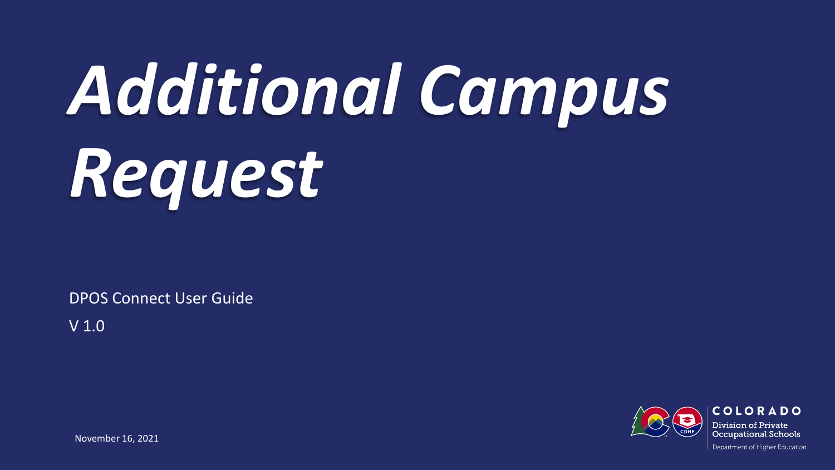# *Additional Campus Request*

DPOS Connect User Guide

V 1.0

**COLORADO** Division of Private **Occupational Schools** 

November 16, 2021

Department of Higher Education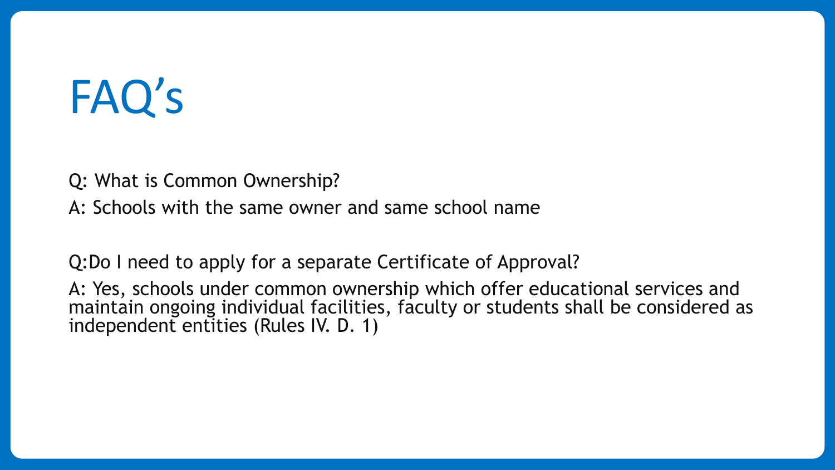## FAQ's

Q: What is Common Ownership?

A: Schools with the same owner and same school name

Q:Do I need to apply for a separate Certificate of Approval?

A: Yes, schools under common ownership which offer educational services and maintain ongoing individual facilities, faculty or students shall be considered as independent entities (Rules IV. D. 1)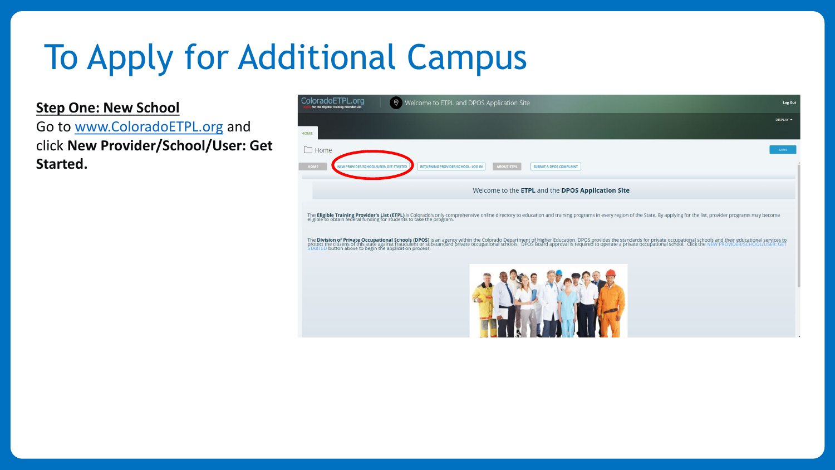### To Apply for Additional Campus

**Step One: New School**

Go to [www.ColoradoETPL.org](http://www.coloradoetpl.org/) and click **New Provider/School/User: Get Started.**

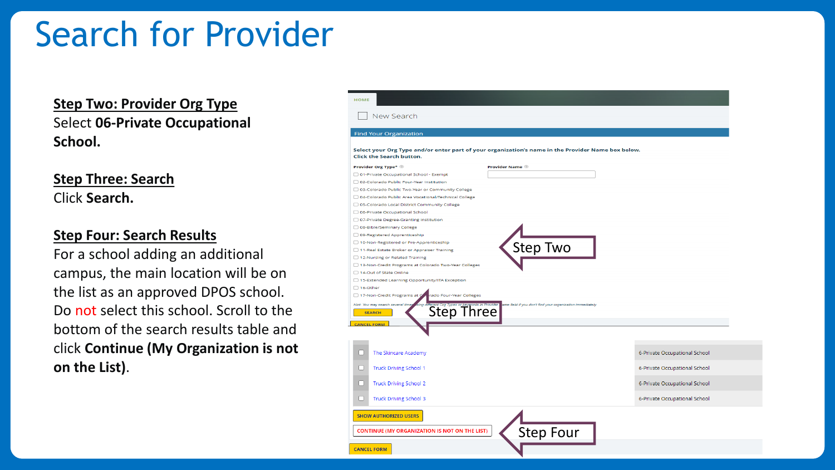### Search for Provider

**Step Two: Provider Org Type** Select **06-Private Occupational School.**

**Step Three: Search** Click **Search.**

#### **Step Four: Search Results**

For a school adding an additional campus, the main location will be on the list as an approved DPOS school. Do not select this school. Scroll to the bottom of the search results table and click **Continue (My Organization is not on the List)**.

| <b>Find Your Organization</b>                                    |                                                                                                    |
|------------------------------------------------------------------|----------------------------------------------------------------------------------------------------|
| Click the Search button.                                         | Select your Org Type and/or enter part of your organization's name in the Provider Name box below. |
| Provider Org Type*                                               | <b>Provider Name</b>                                                                               |
| 01-Private Occupational School - Exempt                          |                                                                                                    |
| 02-Colorado Public Four-Year Institution                         |                                                                                                    |
| 03-Colorado Public Two-Year or Community College                 |                                                                                                    |
| □ 04-Colorado Public Area Vocational/Technical College           |                                                                                                    |
| □ 05-Colorado Local District Community College                   |                                                                                                    |
| □ 06-Private Occupational School                                 |                                                                                                    |
| □ 07-Private Degree-Granting Institution                         |                                                                                                    |
| □ 08-Bible/Seminary College                                      |                                                                                                    |
| □ 09-Registered Apprenticeship                                   |                                                                                                    |
| □ 10-Non-Registered or Pre-Apprenticeship                        | Step Two                                                                                           |
| □ 11-Real Estate Broker or Appraiser Training                    |                                                                                                    |
| □ 12-Nursing or Related Training                                 |                                                                                                    |
| □ 13-Non-Credit Programs at Colorado Two-Year Colleges           |                                                                                                    |
| □ 14-Out of State Online                                         |                                                                                                    |
| □ 15-Extended Learning Opportunity/ITA Exception                 |                                                                                                    |
| $\Box$ 16-Other                                                  |                                                                                                    |
| □ 17-Non-Credit Programs at G<br>rado Four-Year Colleges         |                                                                                                    |
| Hint: You may search several time                                | ame field if you don't find your organization immediately.                                         |
| <i>Merent Org Types or keywords in Provider</i><br><b>SEARCH</b> |                                                                                                    |
|                                                                  |                                                                                                    |
| <b>CANCEL FORM</b>                                               |                                                                                                    |
|                                                                  |                                                                                                    |
|                                                                  |                                                                                                    |
| The Skincare Academy<br>□                                        | 6-Private Occupational School                                                                      |
|                                                                  |                                                                                                    |
| <b>Truck Driving School 1</b><br>U                               | 6-Private Occupational School                                                                      |
|                                                                  |                                                                                                    |
|                                                                  | 6-Private Occupational School                                                                      |
| □                                                                |                                                                                                    |
| <b>Truck Driving School 2</b>                                    |                                                                                                    |
| n                                                                |                                                                                                    |
| <b>Truck Driving School 3</b>                                    | 6-Private Occupational School                                                                      |
|                                                                  |                                                                                                    |
| <b>SHOW AUTHORIZED USERS</b>                                     |                                                                                                    |
|                                                                  |                                                                                                    |
| <b>CONTINUE (MY ORGANIZATION IS NOT ON THE LIST)</b>             |                                                                                                    |
| <b>CANCEL FORM</b>                                               | Step Four                                                                                          |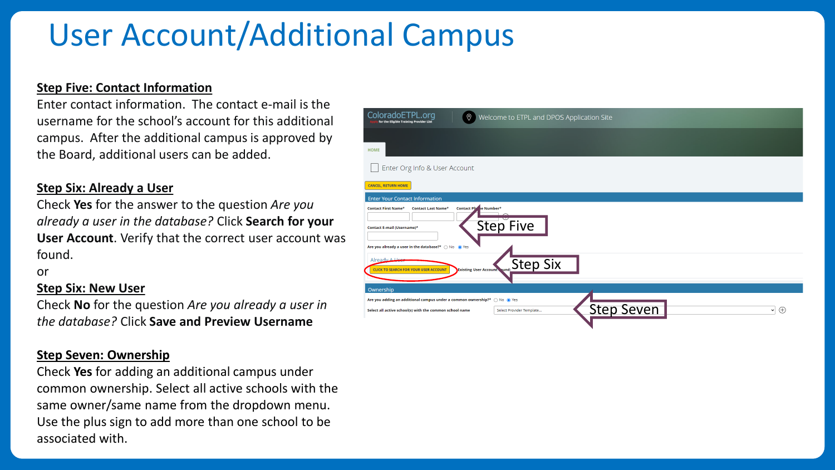### User Account/Additional Campus

#### **Step Five: Contact Information**

Enter contact information. The contact e-mail is the username for the school's account for this additional campus. After the additional campus is approved by the Board, additional users can be added.

#### **Step Six: Already a User**

Check **Yes** for the answer to the question *Are you already a user in the database?* Click **Search for your User Account**. Verify that the correct user account was found.

or

### **Step Six: New User**

Check **No** for the question *Are you already a user in the database?* Click **Save and Preview Username**

#### **Step Seven: Ownership**

Check **Yes** for adding an additional campus under common ownership. Select all active schools with the same owner/same name from the dropdown menu. Use the plus sign to add more than one school to be associated with.

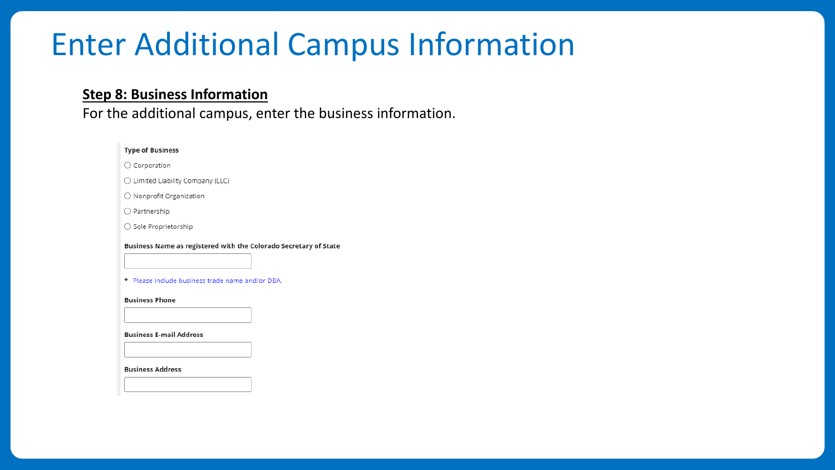### Enter Additional Campus Information

### **Step 8: Business Information**

For the additional campus, enter the business information.

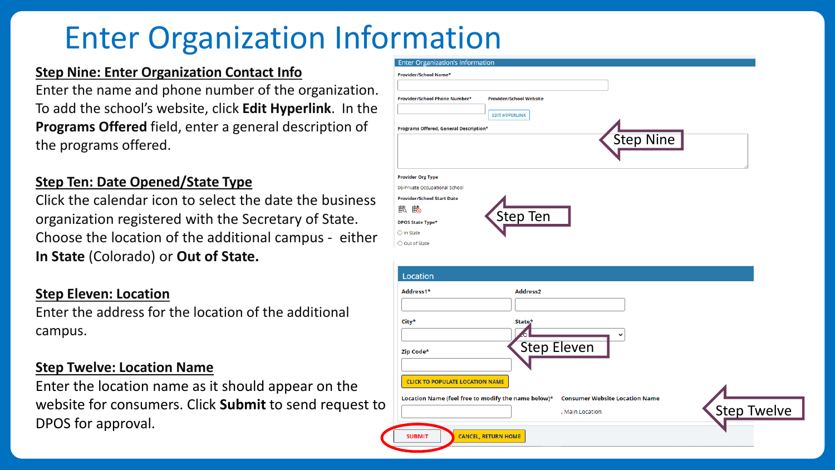### **Enter Organization Information**

### **Step Nine: Enter Organization Contact Info**

Enter the name and phone number of the organization. To add the school's website, click **Edit Hyperlink**. In the **Programs Offered** field, enter a general description of the programs offered.

### **Step Ten: Date Opened/State Type**

Click the calendar icon to select the date the business organization registered with the Secretary of State. Choose the location of the additional campus - either **In State** (Colorado) or **Out of State.**

### **Step Eleven: Location**

Enter the address for the location of the additional campus.

### **Step Twelve: Location Name**

Enter the location name as it should appear on the website for consumers. Click **Submit** to send request to DPOS for approval.

| Provider/School Name*                               |                                |                    |                                       |  |                    |
|-----------------------------------------------------|--------------------------------|--------------------|---------------------------------------|--|--------------------|
|                                                     |                                |                    |                                       |  |                    |
| Provider/School Phone Number*                       | <b>Provider/School Website</b> |                    |                                       |  |                    |
|                                                     | <b>EDIT HYPERLINK</b>          |                    |                                       |  |                    |
|                                                     |                                |                    |                                       |  |                    |
| Programs Offered, General Description*              |                                |                    | <b>Step Nine</b>                      |  |                    |
|                                                     |                                |                    |                                       |  |                    |
|                                                     |                                |                    |                                       |  |                    |
| <b>Provider Org Type</b>                            |                                |                    |                                       |  |                    |
| 06-Private Occupational School                      |                                |                    |                                       |  |                    |
| <b>Provider/School Start Date</b>                   |                                |                    |                                       |  |                    |
| 戲 的                                                 |                                |                    |                                       |  |                    |
|                                                     |                                |                    |                                       |  |                    |
|                                                     | Step Ten                       |                    |                                       |  |                    |
| <b>DPOS State Type*</b><br>$\bigcirc$ In State      |                                |                    |                                       |  |                    |
| ○ Out of State                                      |                                |                    |                                       |  |                    |
|                                                     |                                |                    |                                       |  |                    |
|                                                     |                                |                    |                                       |  |                    |
| Location                                            |                                |                    |                                       |  |                    |
| Address1*                                           | Address2                       |                    |                                       |  |                    |
|                                                     |                                |                    |                                       |  |                    |
|                                                     |                                |                    |                                       |  |                    |
| City*                                               | State*                         |                    |                                       |  |                    |
|                                                     |                                |                    |                                       |  |                    |
| Zip Code*                                           |                                | <b>Step Eleven</b> |                                       |  |                    |
|                                                     |                                |                    |                                       |  |                    |
|                                                     |                                |                    |                                       |  |                    |
| <b>CLICK TO POPULATE LOCATION NAME</b>              |                                |                    |                                       |  |                    |
| Location Name (feel free to modify the name below)* |                                |                    | <b>Consumer Website Location Name</b> |  | <b>Step Twelve</b> |